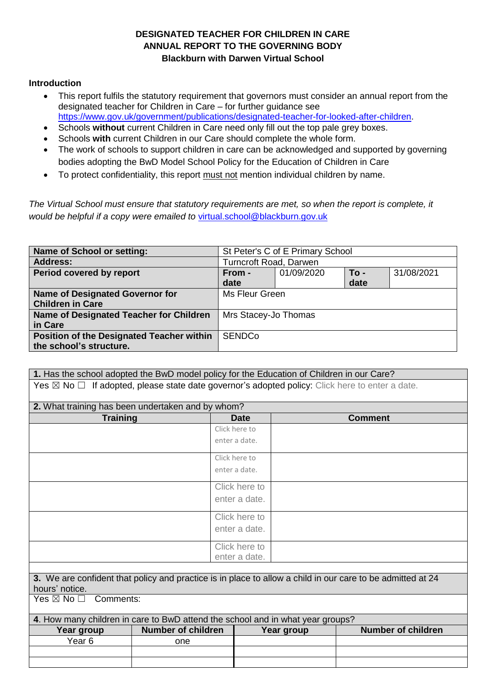## **DESIGNATED TEACHER FOR CHILDREN IN CARE ANNUAL REPORT TO THE GOVERNING BODY Blackburn with Darwen Virtual School**

## **Introduction**

- This report fulfils the statutory requirement that governors must consider an annual report from the designated teacher for Children in Care – for further guidance see [https://www.gov.uk/government/publications/designated-teacher-for-looked-after-children.](https://www.gov.uk/government/publications/designated-teacher-for-looked-after-children)
- Schools **without** current Children in Care need only fill out the top pale grey boxes.
- Schools **with** current Children in our Care should complete the whole form.
- The work of schools to support children in care can be acknowledged and supported by governing bodies adopting the BwD Model School Policy for the Education of Children in Care
- To protect confidentiality, this report must not mention individual children by name.

*The Virtual School must ensure that statutory requirements are met, so when the report is complete, it would be helpful if a copy were emailed to* [virtual.school@blackburn.gov.uk](mailto:virtual.school@blackburn.gov.uk)

| <b>Name of School or setting:</b>         | St Peter's C of E Primary School |            |        |            |
|-------------------------------------------|----------------------------------|------------|--------|------------|
| <b>Address:</b>                           | <b>Turncroft Road, Darwen</b>    |            |        |            |
| Period covered by report                  | From -                           | 01/09/2020 | $To -$ | 31/08/2021 |
|                                           | date                             |            | date   |            |
| <b>Name of Designated Governor for</b>    | Ms Fleur Green                   |            |        |            |
| <b>Children in Care</b>                   |                                  |            |        |            |
| Name of Designated Teacher for Children   | Mrs Stacey-Jo Thomas             |            |        |            |
| in Care                                   |                                  |            |        |            |
| Position of the Designated Teacher within | <b>SENDCo</b>                    |            |        |            |
| the school's structure.                   |                                  |            |        |            |

**1.** Has the school adopted the BwD model policy for the Education of Children in our Care? Yes  $\boxtimes$  No  $\Box$  If adopted, please state date governor's adopted policy: Click here to enter a date.

| 2. What training has been undertaken and by whom?                              |                           |               |            |                                                                                                            |  |
|--------------------------------------------------------------------------------|---------------------------|---------------|------------|------------------------------------------------------------------------------------------------------------|--|
| <b>Training</b>                                                                |                           | <b>Date</b>   |            | <b>Comment</b>                                                                                             |  |
|                                                                                |                           | Click here to |            |                                                                                                            |  |
|                                                                                |                           | enter a date. |            |                                                                                                            |  |
|                                                                                |                           | Click here to |            |                                                                                                            |  |
|                                                                                |                           | enter a date. |            |                                                                                                            |  |
|                                                                                |                           | Click here to |            |                                                                                                            |  |
|                                                                                |                           | enter a date. |            |                                                                                                            |  |
|                                                                                |                           | Click here to |            |                                                                                                            |  |
|                                                                                |                           | enter a date. |            |                                                                                                            |  |
|                                                                                |                           | Click here to |            |                                                                                                            |  |
|                                                                                |                           | enter a date. |            |                                                                                                            |  |
|                                                                                |                           |               |            |                                                                                                            |  |
|                                                                                |                           |               |            | 3. We are confident that policy and practice is in place to allow a child in our care to be admitted at 24 |  |
| hours' notice.                                                                 |                           |               |            |                                                                                                            |  |
| Comments:<br>Yes $\boxtimes$ No $\Box$                                         |                           |               |            |                                                                                                            |  |
| 4. How many children in care to BwD attend the school and in what year groups? |                           |               |            |                                                                                                            |  |
| Year group                                                                     | <b>Number of children</b> |               | Year group | <b>Number of children</b>                                                                                  |  |
| Year <sub>6</sub>                                                              | one                       |               |            |                                                                                                            |  |
|                                                                                |                           |               |            |                                                                                                            |  |
|                                                                                |                           |               |            |                                                                                                            |  |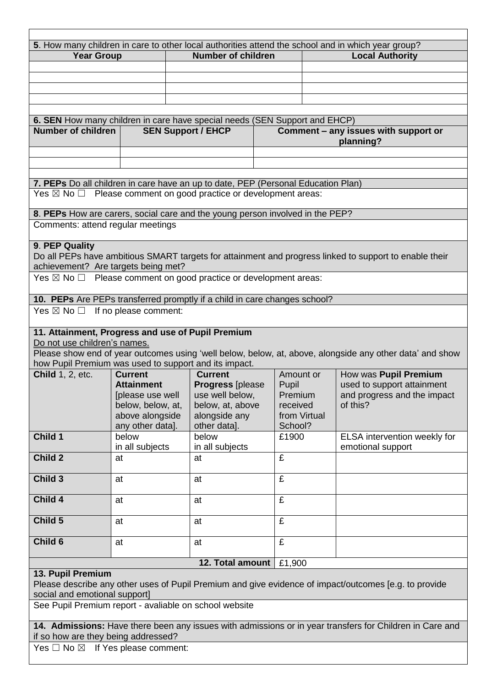| <b>Year Group</b>                                                                                                                                                    |                                      | 5. How many children in care to other local authorities attend the school and in which year group?<br><b>Number of children</b> |                                                                                                       | <b>Local Authority</b> |                                                                                                          |  |  |
|----------------------------------------------------------------------------------------------------------------------------------------------------------------------|--------------------------------------|---------------------------------------------------------------------------------------------------------------------------------|-------------------------------------------------------------------------------------------------------|------------------------|----------------------------------------------------------------------------------------------------------|--|--|
|                                                                                                                                                                      |                                      |                                                                                                                                 |                                                                                                       |                        |                                                                                                          |  |  |
|                                                                                                                                                                      |                                      |                                                                                                                                 |                                                                                                       |                        |                                                                                                          |  |  |
|                                                                                                                                                                      |                                      |                                                                                                                                 |                                                                                                       |                        |                                                                                                          |  |  |
|                                                                                                                                                                      |                                      |                                                                                                                                 |                                                                                                       |                        |                                                                                                          |  |  |
|                                                                                                                                                                      |                                      |                                                                                                                                 |                                                                                                       |                        |                                                                                                          |  |  |
| 6. SEN How many children in care have special needs (SEN Support and EHCP)                                                                                           |                                      |                                                                                                                                 |                                                                                                       |                        |                                                                                                          |  |  |
| <b>Number of children</b>                                                                                                                                            |                                      | <b>SEN Support / EHCP</b>                                                                                                       |                                                                                                       |                        | Comment - any issues with support or                                                                     |  |  |
|                                                                                                                                                                      |                                      |                                                                                                                                 |                                                                                                       | planning?              |                                                                                                          |  |  |
|                                                                                                                                                                      |                                      |                                                                                                                                 |                                                                                                       |                        |                                                                                                          |  |  |
|                                                                                                                                                                      |                                      |                                                                                                                                 |                                                                                                       |                        |                                                                                                          |  |  |
|                                                                                                                                                                      |                                      |                                                                                                                                 |                                                                                                       |                        |                                                                                                          |  |  |
| 7. PEPs Do all children in care have an up to date, PEP (Personal Education Plan)<br>Yes $\boxtimes$ No $\Box$ Please comment on good practice or development areas: |                                      |                                                                                                                                 |                                                                                                       |                        |                                                                                                          |  |  |
|                                                                                                                                                                      |                                      |                                                                                                                                 |                                                                                                       |                        |                                                                                                          |  |  |
| 8. PEPs How are carers, social care and the young person involved in the PEP?                                                                                        |                                      |                                                                                                                                 |                                                                                                       |                        |                                                                                                          |  |  |
| Comments: attend regular meetings                                                                                                                                    |                                      |                                                                                                                                 |                                                                                                       |                        |                                                                                                          |  |  |
|                                                                                                                                                                      |                                      |                                                                                                                                 |                                                                                                       |                        |                                                                                                          |  |  |
| 9. PEP Quality                                                                                                                                                       |                                      |                                                                                                                                 |                                                                                                       |                        |                                                                                                          |  |  |
|                                                                                                                                                                      |                                      |                                                                                                                                 |                                                                                                       |                        | Do all PEPs have ambitious SMART targets for attainment and progress linked to support to enable their   |  |  |
| achievement? Are targets being met?                                                                                                                                  |                                      |                                                                                                                                 |                                                                                                       |                        |                                                                                                          |  |  |
| Yes $\boxtimes$ No $\Box$ Please comment on good practice or development areas:                                                                                      |                                      |                                                                                                                                 |                                                                                                       |                        |                                                                                                          |  |  |
|                                                                                                                                                                      |                                      |                                                                                                                                 |                                                                                                       |                        |                                                                                                          |  |  |
| 10. PEPs Are PEPs transferred promptly if a child in care changes school?                                                                                            |                                      |                                                                                                                                 |                                                                                                       |                        |                                                                                                          |  |  |
| Yes $\boxtimes$ No $\square$ If no please comment:                                                                                                                   |                                      |                                                                                                                                 |                                                                                                       |                        |                                                                                                          |  |  |
|                                                                                                                                                                      |                                      |                                                                                                                                 |                                                                                                       |                        |                                                                                                          |  |  |
| 11. Attainment, Progress and use of Pupil Premium                                                                                                                    |                                      |                                                                                                                                 |                                                                                                       |                        |                                                                                                          |  |  |
| Do not use children's names.                                                                                                                                         |                                      |                                                                                                                                 |                                                                                                       |                        |                                                                                                          |  |  |
|                                                                                                                                                                      |                                      |                                                                                                                                 |                                                                                                       |                        | Please show end of year outcomes using 'well below, below, at, above, alongside any other data' and show |  |  |
| how Pupil Premium was used to support and its impact.                                                                                                                |                                      |                                                                                                                                 |                                                                                                       |                        |                                                                                                          |  |  |
| <b>Child 1, 2, etc.</b>                                                                                                                                              | <b>Current</b>                       | <b>Current</b>                                                                                                                  | Amount or                                                                                             |                        | How was Pupil Premium                                                                                    |  |  |
|                                                                                                                                                                      | <b>Attainment</b>                    | <b>Progress [please</b>                                                                                                         | Pupil                                                                                                 |                        | used to support attainment                                                                               |  |  |
|                                                                                                                                                                      | [please use well                     | use well below,                                                                                                                 | Premium                                                                                               |                        | and progress and the impact<br>of this?                                                                  |  |  |
|                                                                                                                                                                      | below, below, at,<br>above alongside | below, at, above<br>alongside any                                                                                               | received                                                                                              | from Virtual           |                                                                                                          |  |  |
|                                                                                                                                                                      | any other data].                     | other data].                                                                                                                    | School?                                                                                               |                        |                                                                                                          |  |  |
| Child 1                                                                                                                                                              | below                                | below                                                                                                                           | £1900                                                                                                 |                        | ELSA intervention weekly for                                                                             |  |  |
|                                                                                                                                                                      | in all subjects                      | in all subjects                                                                                                                 |                                                                                                       |                        | emotional support                                                                                        |  |  |
| Child 2                                                                                                                                                              | at                                   | at                                                                                                                              | £                                                                                                     |                        |                                                                                                          |  |  |
|                                                                                                                                                                      |                                      |                                                                                                                                 |                                                                                                       |                        |                                                                                                          |  |  |
| Child 3                                                                                                                                                              | at                                   | at                                                                                                                              | £                                                                                                     |                        |                                                                                                          |  |  |
|                                                                                                                                                                      |                                      |                                                                                                                                 |                                                                                                       |                        |                                                                                                          |  |  |
| Child 4                                                                                                                                                              | at                                   | at                                                                                                                              | £                                                                                                     |                        |                                                                                                          |  |  |
|                                                                                                                                                                      |                                      |                                                                                                                                 |                                                                                                       |                        |                                                                                                          |  |  |
| Child 5                                                                                                                                                              | at                                   | at                                                                                                                              | £                                                                                                     |                        |                                                                                                          |  |  |
|                                                                                                                                                                      |                                      |                                                                                                                                 |                                                                                                       |                        |                                                                                                          |  |  |
| Child <sub>6</sub>                                                                                                                                                   | at                                   | at                                                                                                                              | £                                                                                                     |                        |                                                                                                          |  |  |
|                                                                                                                                                                      |                                      |                                                                                                                                 |                                                                                                       |                        |                                                                                                          |  |  |
| 12. Total amount<br>£1,900                                                                                                                                           |                                      |                                                                                                                                 |                                                                                                       |                        |                                                                                                          |  |  |
| 13. Pupil Premium                                                                                                                                                    |                                      |                                                                                                                                 |                                                                                                       |                        |                                                                                                          |  |  |
|                                                                                                                                                                      |                                      |                                                                                                                                 | Please describe any other uses of Pupil Premium and give evidence of impact/outcomes [e.g. to provide |                        |                                                                                                          |  |  |
|                                                                                                                                                                      |                                      |                                                                                                                                 |                                                                                                       |                        |                                                                                                          |  |  |
| social and emotional support]                                                                                                                                        |                                      |                                                                                                                                 |                                                                                                       |                        |                                                                                                          |  |  |
| See Pupil Premium report - avaliable on school website                                                                                                               |                                      |                                                                                                                                 |                                                                                                       |                        |                                                                                                          |  |  |
|                                                                                                                                                                      |                                      |                                                                                                                                 |                                                                                                       |                        |                                                                                                          |  |  |
|                                                                                                                                                                      |                                      |                                                                                                                                 |                                                                                                       |                        | 14. Admissions: Have there been any issues with admissions or in year transfers for Children in Care and |  |  |
|                                                                                                                                                                      |                                      |                                                                                                                                 |                                                                                                       |                        |                                                                                                          |  |  |
| if so how are they being addressed?                                                                                                                                  |                                      |                                                                                                                                 |                                                                                                       |                        |                                                                                                          |  |  |